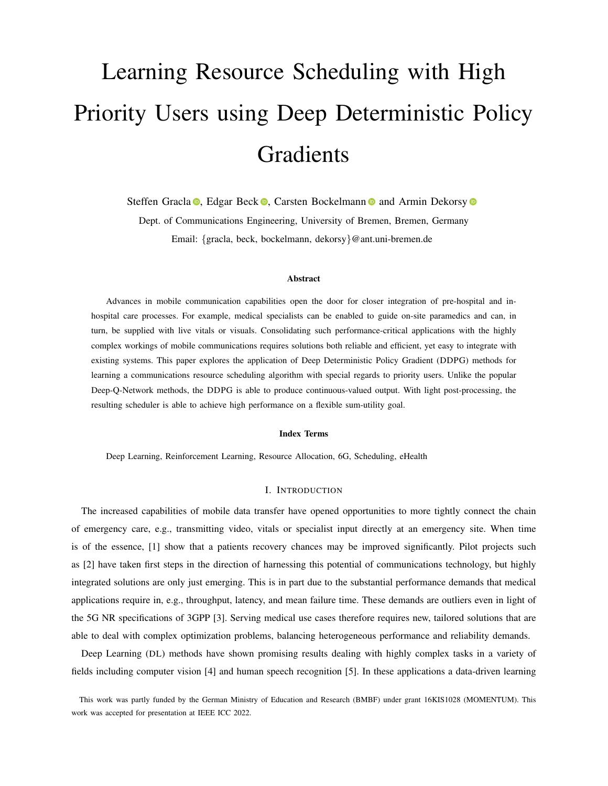# Learning Resource Scheduling with High Priority Users using Deep Deterministic Policy Gradients

Steffen Gracla **.** Edgar Beck **.** Carsten Bockelmann **a** and Armin Dekorsy **a** 

Dept. of Communications Engineering, University of Bremen, Bremen, Germany Email: {gracla, beck, bockelmann, dekorsy}@ant.uni-bremen.de

## Abstract

Advances in mobile communication capabilities open the door for closer integration of pre-hospital and inhospital care processes. For example, medical specialists can be enabled to guide on-site paramedics and can, in turn, be supplied with live vitals or visuals. Consolidating such performance-critical applications with the highly complex workings of mobile communications requires solutions both reliable and efficient, yet easy to integrate with existing systems. This paper explores the application of Deep Deterministic Policy Gradient (DDPG) methods for learning a communications resource scheduling algorithm with special regards to priority users. Unlike the popular Deep-Q-Network methods, the DDPG is able to produce continuous-valued output. With light post-processing, the resulting scheduler is able to achieve high performance on a flexible sum-utility goal.

#### Index Terms

Deep Learning, Reinforcement Learning, Resource Allocation, 6G, Scheduling, eHealth

## I. INTRODUCTION

The increased capabilities of mobile data transfer have opened opportunities to more tightly connect the chain of emergency care, e.g., transmitting video, vitals or specialist input directly at an emergency site. When time is of the essence, [\[1\]](#page-9-0) show that a patients recovery chances may be improved significantly. Pilot projects such as [\[2\]](#page-9-1) have taken first steps in the direction of harnessing this potential of communications technology, but highly integrated solutions are only just emerging. This is in part due to the substantial performance demands that medical applications require in, e.g., throughput, latency, and mean failure time. These demands are outliers even in light of the 5G NR specifications of 3GPP [\[3\]](#page-9-2). Serving medical use cases therefore requires new, tailored solutions that are able to deal with complex optimization problems, balancing heterogeneous performance and reliability demands.

Deep Learning (DL) methods have shown promising results dealing with highly complex tasks in a variety of fields including computer vision [\[4\]](#page-9-3) and human speech recognition [\[5\]](#page-10-0). In these applications a data-driven learning

This work was partly funded by the German Ministry of Education and Research (BMBF) under grant 16KIS1028 (MOMENTUM). This work was accepted for presentation at IEEE ICC 2022.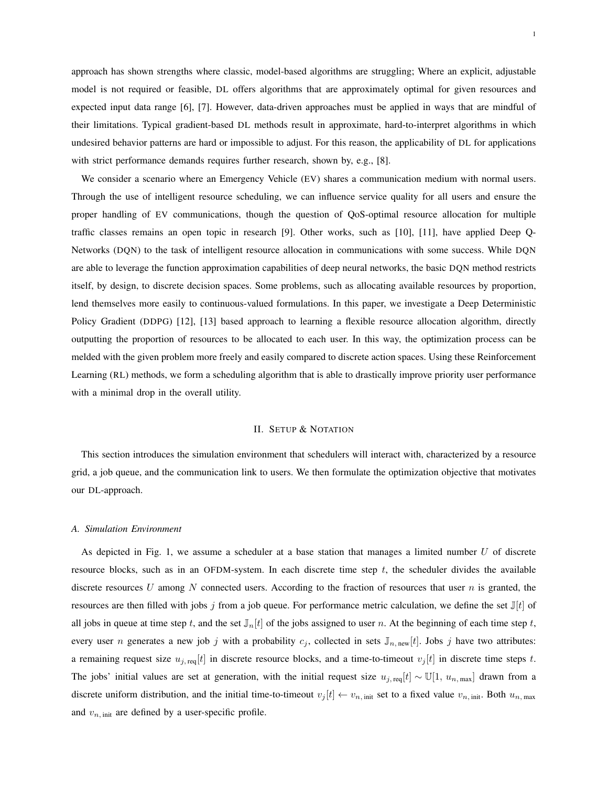approach has shown strengths where classic, model-based algorithms are struggling; Where an explicit, adjustable model is not required or feasible, DL offers algorithms that are approximately optimal for given resources and expected input data range [\[6\]](#page-10-1), [\[7\]](#page-10-2). However, data-driven approaches must be applied in ways that are mindful of their limitations. Typical gradient-based DL methods result in approximate, hard-to-interpret algorithms in which undesired behavior patterns are hard or impossible to adjust. For this reason, the applicability of DL for applications with strict performance demands requires further research, shown by, e.g., [\[8\]](#page-10-3).

We consider a scenario where an Emergency Vehicle (EV) shares a communication medium with normal users. Through the use of intelligent resource scheduling, we can influence service quality for all users and ensure the proper handling of EV communications, though the question of QoS-optimal resource allocation for multiple traffic classes remains an open topic in research [\[9\]](#page-10-4). Other works, such as [\[10\]](#page-10-5), [\[11\]](#page-10-6), have applied Deep Q-Networks (DQN) to the task of intelligent resource allocation in communications with some success. While DQN are able to leverage the function approximation capabilities of deep neural networks, the basic DQN method restricts itself, by design, to discrete decision spaces. Some problems, such as allocating available resources by proportion, lend themselves more easily to continuous-valued formulations. In this paper, we investigate a Deep Deterministic Policy Gradient (DDPG) [\[12\]](#page-10-7), [\[13\]](#page-10-8) based approach to learning a flexible resource allocation algorithm, directly outputting the proportion of resources to be allocated to each user. In this way, the optimization process can be melded with the given problem more freely and easily compared to discrete action spaces. Using these Reinforcement Learning (RL) methods, we form a scheduling algorithm that is able to drastically improve priority user performance with a minimal drop in the overall utility.

#### II. SETUP & NOTATION

This section introduces the simulation environment that schedulers will interact with, characterized by a resource grid, a job queue, and the communication link to users. We then formulate the optimization objective that motivates our DL-approach.

#### *A. Simulation Environment*

As depicted in Fig. [1,](#page-2-0) we assume a scheduler at a base station that manages a limited number U of discrete resource blocks, such as in an OFDM-system. In each discrete time step  $t$ , the scheduler divides the available discrete resources U among N connected users. According to the fraction of resources that user  $n$  is granted, the resources are then filled with jobs j from a job queue. For performance metric calculation, we define the set  $\mathbb{J}[t]$  of all jobs in queue at time step t, and the set  $\mathbb{J}_n[t]$  of the jobs assigned to user n. At the beginning of each time step t, every user *n* generates a new job j with a probability  $c_j$ , collected in sets  $\mathbb{J}_{n,\text{new}}[t]$ . Jobs j have two attributes: a remaining request size  $u_{j, \text{req}}[t]$  in discrete resource blocks, and a time-to-timeout  $v_j[t]$  in discrete time steps t. The jobs' initial values are set at generation, with the initial request size  $u_{j, \text{req}}[t] \sim \mathbb{U}[1, u_{n, \text{max}}]$  drawn from a discrete uniform distribution, and the initial time-to-timeout  $v_j[t] \leftarrow v_{n,\text{init}}$  set to a fixed value  $v_{n,\text{init}}$ . Both  $u_{n,\text{max}}$ and  $v_{n, \text{init}}$  are defined by a user-specific profile.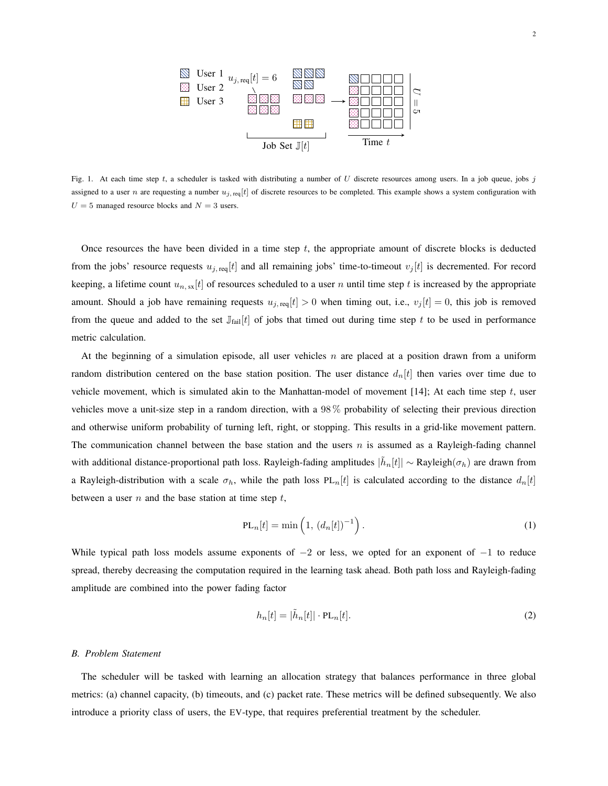

<span id="page-2-0"></span>Fig. 1. At each time step  $t$ , a scheduler is tasked with distributing a number of  $U$  discrete resources among users. In a job queue, jobs  $j$ assigned to a user n are requesting a number  $u_i$ , req[t] of discrete resources to be completed. This example shows a system configuration with  $U = 5$  managed resource blocks and  $N = 3$  users.

Once resources the have been divided in a time step  $t$ , the appropriate amount of discrete blocks is deducted from the jobs' resource requests  $u_{j, \text{req}}[t]$  and all remaining jobs' time-to-timeout  $v_j[t]$  is decremented. For record keeping, a lifetime count  $u_{n, \text{sx}}[t]$  of resources scheduled to a user n until time step t is increased by the appropriate amount. Should a job have remaining requests  $u_{j, \text{req}}[t] > 0$  when timing out, i.e.,  $v_j[t] = 0$ , this job is removed from the queue and added to the set  $\mathbb{J}_{\text{fail}}[t]$  of jobs that timed out during time step t to be used in performance metric calculation.

At the beginning of a simulation episode, all user vehicles  $n$  are placed at a position drawn from a uniform random distribution centered on the base station position. The user distance  $d_n[t]$  then varies over time due to vehicle movement, which is simulated akin to the Manhattan-model of movement [\[14\]](#page-10-9); At each time step  $t$ , user vehicles move a unit-size step in a random direction, with a 98 % probability of selecting their previous direction and otherwise uniform probability of turning left, right, or stopping. This results in a grid-like movement pattern. The communication channel between the base station and the users  $n$  is assumed as a Rayleigh-fading channel with additional distance-proportional path loss. Rayleigh-fading amplitudes  $|\tilde{h}_n[t]| \sim$  Rayleigh $(\sigma_h)$  are drawn from a Rayleigh-distribution with a scale  $\sigma_h$ , while the path loss PL<sub>n</sub>[t] is calculated according to the distance  $d_n[t]$ between a user  $n$  and the base station at time step  $t$ ,

$$
PL_n[t] = \min\left(1, (d_n[t])^{-1}\right). \tag{1}
$$

While typical path loss models assume exponents of  $-2$  or less, we opted for an exponent of  $-1$  to reduce spread, thereby decreasing the computation required in the learning task ahead. Both path loss and Rayleigh-fading amplitude are combined into the power fading factor

$$
h_n[t] = |\tilde{h}_n[t]| \cdot \text{PL}_n[t]. \tag{2}
$$

## <span id="page-2-1"></span>*B. Problem Statement*

The scheduler will be tasked with learning an allocation strategy that balances performance in three global metrics: (a) channel capacity, (b) timeouts, and (c) packet rate. These metrics will be defined subsequently. We also introduce a priority class of users, the EV-type, that requires preferential treatment by the scheduler.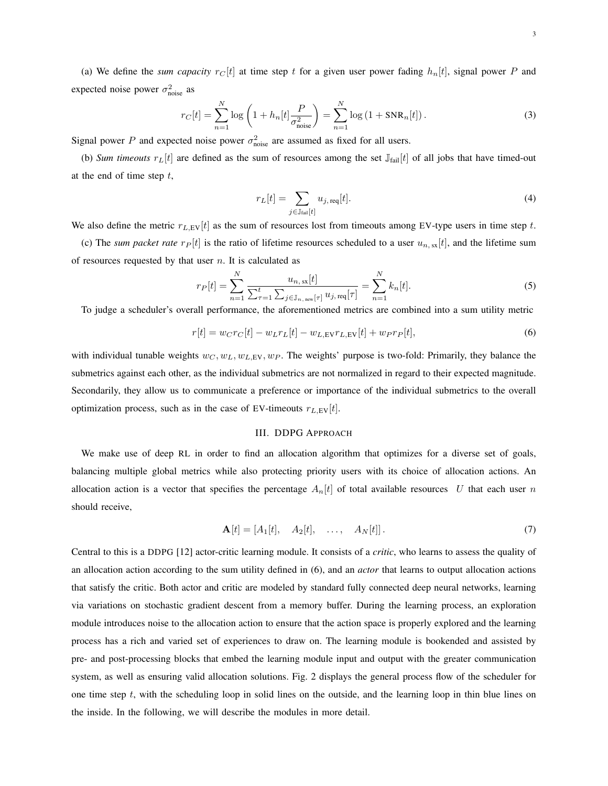(a) We define the *sum capacity*  $r_C[t]$  at time step t for a given user power fading  $h_n[t]$ , signal power P and expected noise power  $\sigma_{\text{noise}}^2$  as

$$
r_C[t] = \sum_{n=1}^{N} \log \left( 1 + h_n[t] \frac{P}{\sigma_{\text{noise}}^2} \right) = \sum_{n=1}^{N} \log \left( 1 + \text{SNR}_n[t] \right). \tag{3}
$$

Signal power P and expected noise power  $\sigma_{\text{noise}}^2$  are assumed as fixed for all users.

(b) *Sum timeouts*  $r_L[t]$  are defined as the sum of resources among the set  $\mathbb{J}_{\text{fail}}[t]$  of all jobs that have timed-out at the end of time step  $t$ ,

<span id="page-3-1"></span>
$$
r_L[t] = \sum_{j \in \mathbb{J}_{\text{fail}}[t]} u_{j,\text{req}}[t]. \tag{4}
$$

We also define the metric  $r_{L,\text{EV}}[t]$  as the sum of resources lost from timeouts among EV-type users in time step t.

(c) The *sum packet rate*  $r_P[t]$  is the ratio of lifetime resources scheduled to a user  $u_{n, s}$ <sub>x</sub>[t], and the lifetime sum of resources requested by that user  $n$ . It is calculated as

$$
r_P[t] = \sum_{n=1}^{N} \frac{u_{n, \, \text{ss}}[t]}{\sum_{\tau=1}^{t} \sum_{j \in \mathbb{J}_{n, \text{new}}[\tau]} u_{j, \text{req}}[\tau]} = \sum_{n=1}^{N} k_n[t]. \tag{5}
$$

To judge a scheduler's overall performance, the aforementioned metrics are combined into a sum utility metric

$$
r[t] = w_{C}r_{C}[t] - w_{L}r_{L}[t] - w_{L,EV}r_{L,EV}[t] + w_{P}r_{P}[t],
$$
\n(6)

with individual tunable weights  $w_C, w_L, w_L, w_F$ . The weights' purpose is two-fold: Primarily, they balance the submetrics against each other, as the individual submetrics are not normalized in regard to their expected magnitude. Secondarily, they allow us to communicate a preference or importance of the individual submetrics to the overall optimization process, such as in the case of EV-timeouts  $r_{L,EV}[t]$ .

## <span id="page-3-0"></span>III. DDPG APPROACH

We make use of deep RL in order to find an allocation algorithm that optimizes for a diverse set of goals, balancing multiple global metrics while also protecting priority users with its choice of allocation actions. An allocation action is a vector that specifies the percentage  $A_n[t]$  of total available resources U that each user n should receive,

$$
\mathbf{A}[t] = [A_1[t], \quad A_2[t], \quad \dots, \quad A_N[t]]. \tag{7}
$$

Central to this is a DDPG [\[12\]](#page-10-7) actor-critic learning module. It consists of a *critic*, who learns to assess the quality of an allocation action according to the sum utility defined in [\(6\)](#page-3-0), and an *actor* that learns to output allocation actions that satisfy the critic. Both actor and critic are modeled by standard fully connected deep neural networks, learning via variations on stochastic gradient descent from a memory buffer. During the learning process, an exploration module introduces noise to the allocation action to ensure that the action space is properly explored and the learning process has a rich and varied set of experiences to draw on. The learning module is bookended and assisted by pre- and post-processing blocks that embed the learning module input and output with the greater communication system, as well as ensuring valid allocation solutions. Fig. [2](#page-4-0) displays the general process flow of the scheduler for one time step t, with the scheduling loop in solid lines on the outside, and the learning loop in thin blue lines on the inside. In the following, we will describe the modules in more detail.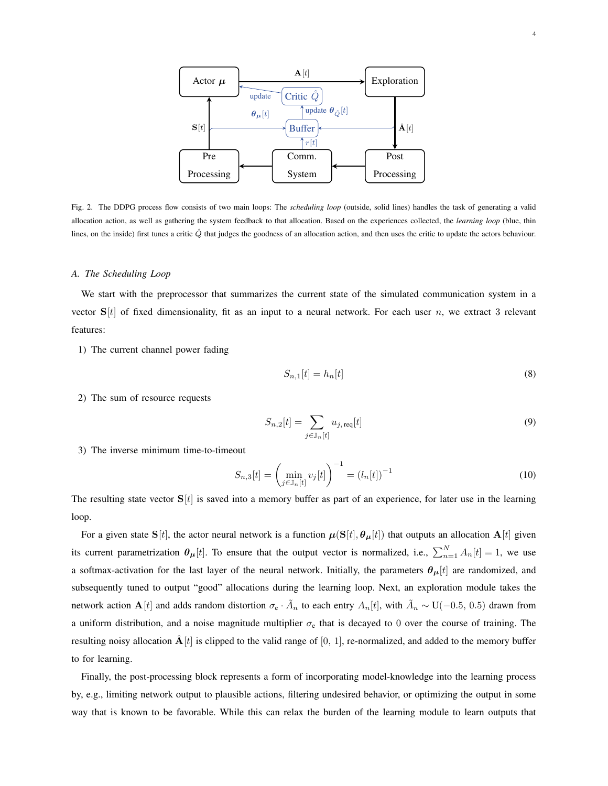

<span id="page-4-0"></span>Fig. 2. The DDPG process flow consists of two main loops: The *scheduling loop* (outside, solid lines) handles the task of generating a valid allocation action, as well as gathering the system feedback to that allocation. Based on the experiences collected, the *learning loop* (blue, thin lines, on the inside) first tunes a critic  $\hat{Q}$  that judges the goodness of an allocation action, and then uses the critic to update the actors behaviour.

#### *A. The Scheduling Loop*

We start with the preprocessor that summarizes the current state of the simulated communication system in a vector  $S[t]$  of fixed dimensionality, fit as an input to a neural network. For each user n, we extract 3 relevant features:

1) The current channel power fading

$$
S_{n,1}[t] = h_n[t] \tag{8}
$$

2) The sum of resource requests

$$
S_{n,2}[t] = \sum_{j \in \mathbb{J}_n[t]} u_{j,\text{req}}[t] \tag{9}
$$

3) The inverse minimum time-to-timeout

$$
S_{n,3}[t] = \left(\min_{j \in \mathbb{J}_n[t]} v_j[t]\right)^{-1} = \left(l_n[t]\right)^{-1} \tag{10}
$$

The resulting state vector  $S[t]$  is saved into a memory buffer as part of an experience, for later use in the learning loop.

For a given state  $S[t]$ , the actor neural network is a function  $\mu(S[t], \theta_{\mu}[t])$  that outputs an allocation  $A[t]$  given its current parametrization  $\theta_{\mu}[t]$ . To ensure that the output vector is normalized, i.e.,  $\sum_{n=1}^{N} A_n[t] = 1$ , we use a softmax-activation for the last layer of the neural network. Initially, the parameters  $\theta_{\mu}[t]$  are randomized, and subsequently tuned to output "good" allocations during the learning loop. Next, an exploration module takes the network action  $A[t]$  and adds random distortion  $\sigma_e \cdot \tilde{A}_n$  to each entry  $A_n[t]$ , with  $\tilde{A}_n \sim U(-0.5, 0.5)$  drawn from a uniform distribution, and a noise magnitude multiplier  $\sigma_e$  that is decayed to 0 over the course of training. The resulting noisy allocation  $\hat{A}[t]$  is clipped to the valid range of [0, 1], re-normalized, and added to the memory buffer to for learning.

Finally, the post-processing block represents a form of incorporating model-knowledge into the learning process by, e.g., limiting network output to plausible actions, filtering undesired behavior, or optimizing the output in some way that is known to be favorable. While this can relax the burden of the learning module to learn outputs that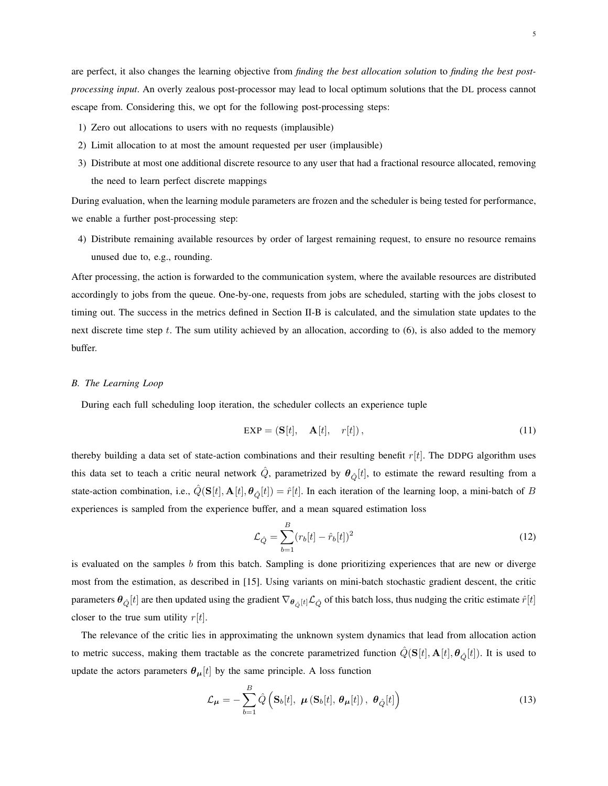are perfect, it also changes the learning objective from *finding the best allocation solution* to *finding the best postprocessing input*. An overly zealous post-processor may lead to local optimum solutions that the DL process cannot escape from. Considering this, we opt for the following post-processing steps:

- 1) Zero out allocations to users with no requests (implausible)
- 2) Limit allocation to at most the amount requested per user (implausible)
- 3) Distribute at most one additional discrete resource to any user that had a fractional resource allocated, removing the need to learn perfect discrete mappings

During evaluation, when the learning module parameters are frozen and the scheduler is being tested for performance, we enable a further post-processing step:

4) Distribute remaining available resources by order of largest remaining request, to ensure no resource remains unused due to, e.g., rounding.

After processing, the action is forwarded to the communication system, where the available resources are distributed accordingly to jobs from the queue. One-by-one, requests from jobs are scheduled, starting with the jobs closest to timing out. The success in the metrics defined in Section [II-B](#page-2-1) is calculated, and the simulation state updates to the next discrete time step t. The sum utility achieved by an allocation, according to  $(6)$ , is also added to the memory buffer.

## *B. The Learning Loop*

During each full scheduling loop iteration, the scheduler collects an experience tuple

$$
EXP = (\mathbf{S}[t], \quad \mathbf{A}[t], \quad r[t]), \tag{11}
$$

thereby building a data set of state-action combinations and their resulting benefit  $r[t]$ . The DDPG algorithm uses this data set to teach a critic neural network  $\hat{Q}$ , parametrized by  $\theta_{\hat{Q}}[t]$ , to estimate the reward resulting from a state-action combination, i.e.,  $\hat{Q}(\mathbf{S}[t], \mathbf{A}[t], \theta_{\hat{O}}[t]) = \hat{r}[t]$ . In each iteration of the learning loop, a mini-batch of B experiences is sampled from the experience buffer, and a mean squared estimation loss

$$
\mathcal{L}_{\hat{Q}} = \sum_{b=1}^{B} (r_b[t] - \hat{r}_b[t])^2
$$
\n(12)

is evaluated on the samples  $b$  from this batch. Sampling is done prioritizing experiences that are new or diverge most from the estimation, as described in [\[15\]](#page-10-10). Using variants on mini-batch stochastic gradient descent, the critic parameters  $\theta_{\hat{Q}}[t]$  are then updated using the gradient  $\nabla_{\theta_{\hat{Q}}[t]}L_{\hat{Q}}$  of this batch loss, thus nudging the critic estimate  $\hat{r}[t]$ closer to the true sum utility  $r[t]$ .

The relevance of the critic lies in approximating the unknown system dynamics that lead from allocation action to metric success, making them tractable as the concrete parametrized function  $Q(S[t], A[t], \theta_{\hat{O}}[t])$ . It is used to update the actors parameters  $\theta_{\mu}[t]$  by the same principle. A loss function

$$
\mathcal{L}_{\mu} = -\sum_{b=1}^{B} \hat{Q} \left( \mathbf{S}_{b}[t], \ \boldsymbol{\mu} \left( \mathbf{S}_{b}[t], \ \boldsymbol{\theta}_{\mu}[t] \right), \ \boldsymbol{\theta}_{\hat{Q}}[t] \right) \tag{13}
$$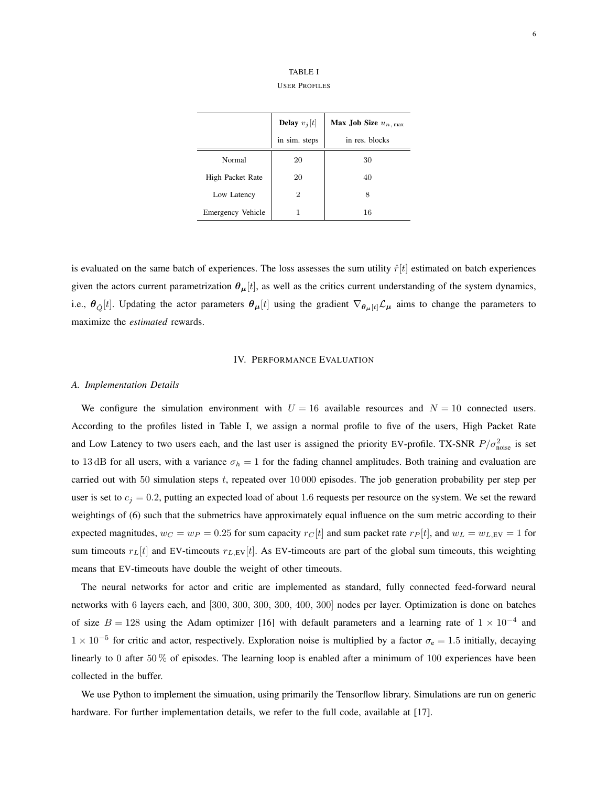TABLE I USER PROFILES

<span id="page-6-0"></span>

|                   | <b>Delay</b> $v_i[t]$ | Max Job Size $u_n$ , max |
|-------------------|-----------------------|--------------------------|
|                   | in sim. steps         | in res. blocks           |
| Normal            | 20                    | 30                       |
| High Packet Rate  | 20                    | 40                       |
| Low Latency       | 2                     | 8                        |
| Emergency Vehicle |                       | 16                       |

is evaluated on the same batch of experiences. The loss assesses the sum utility  $\hat{r}[t]$  estimated on batch experiences given the actors current parametrization  $\theta_{\mu}[t]$ , as well as the critics current understanding of the system dynamics, i.e.,  $\theta_{\hat{Q}}[t]$ . Updating the actor parameters  $\theta_{\mu}[t]$  using the gradient  $\nabla_{\theta_{\mu}[t]} \mathcal{L}_{\mu}$  aims to change the parameters to maximize the *estimated* rewards.

# IV. PERFORMANCE EVALUATION

#### *A. Implementation Details*

We configure the simulation environment with  $U = 16$  available resources and  $N = 10$  connected users. According to the profiles listed in Table [I,](#page-6-0) we assign a normal profile to five of the users, High Packet Rate and Low Latency to two users each, and the last user is assigned the priority EV-profile. TX-SNR  $P/\sigma_{\text{noise}}^2$  is set to 13 dB for all users, with a variance  $\sigma_h = 1$  for the fading channel amplitudes. Both training and evaluation are carried out with 50 simulation steps t, repeated over 10 000 episodes. The job generation probability per step per user is set to  $c_j = 0.2$ , putting an expected load of about 1.6 requests per resource on the system. We set the reward weightings of [\(6\)](#page-3-0) such that the submetrics have approximately equal influence on the sum metric according to their expected magnitudes,  $w_C = w_P = 0.25$  for sum capacity  $r_C[t]$  and sum packet rate  $r_P[t]$ , and  $w_L = w_{L,\text{EV}} = 1$  for sum timeouts  $r_L[t]$  and EV-timeouts  $r_{L,EV}[t]$ . As EV-timeouts are part of the global sum timeouts, this weighting means that EV-timeouts have double the weight of other timeouts.

The neural networks for actor and critic are implemented as standard, fully connected feed-forward neural networks with 6 layers each, and [300, 300, 300, 300, 400, 300] nodes per layer. Optimization is done on batches of size  $B = 128$  using the Adam optimizer [\[16\]](#page-10-11) with default parameters and a learning rate of  $1 \times 10^{-4}$  and  $1 \times 10^{-5}$  for critic and actor, respectively. Exploration noise is multiplied by a factor  $\sigma_e = 1.5$  initially, decaying linearly to 0 after 50 % of episodes. The learning loop is enabled after a minimum of 100 experiences have been collected in the buffer.

We use Python to implement the simuation, using primarily the Tensorflow library. Simulations are run on generic hardware. For further implementation details, we refer to the full code, available at [\[17\]](#page-10-12).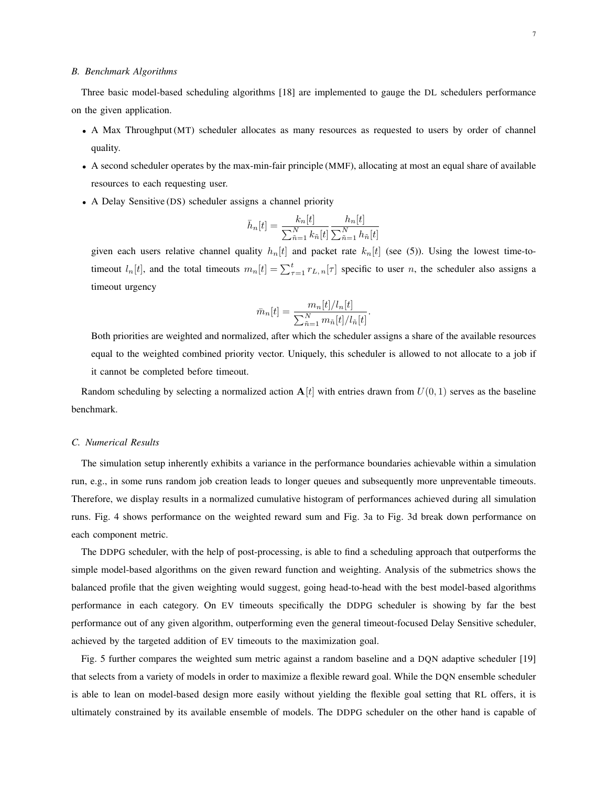#### *B. Benchmark Algorithms*

Three basic model-based scheduling algorithms [\[18\]](#page-10-13) are implemented to gauge the DL schedulers performance on the given application.

- A Max Throughput (MT) scheduler allocates as many resources as requested to users by order of channel quality.
- A second scheduler operates by the max-min-fair principle (MMF), allocating at most an equal share of available resources to each requesting user.
- A Delay Sensitive (DS) scheduler assigns a channel priority

$$
\bar{h}_{n}[t] = \frac{k_{n}[t]}{\sum_{\tilde{n}=1}^{N} k_{\tilde{n}}[t]} \frac{h_{n}[t]}{\sum_{\tilde{n}=1}^{N} h_{\tilde{n}}[t]}
$$

given each users relative channel quality  $h_n[t]$  and packet rate  $k_n[t]$  (see [\(5\)](#page-3-1)). Using the lowest time-totimeout  $l_n[t]$ , and the total timeouts  $m_n[t] = \sum_{\tau=1}^t r_{L,n}[\tau]$  specific to user n, the scheduler also assigns a timeout urgency

$$
\bar{m}_n[t] = \frac{m_n[t]/l_n[t]}{\sum_{\tilde{n}=1}^N m_{\tilde{n}}[t]/l_{\tilde{n}}[t]}.
$$

Both priorities are weighted and normalized, after which the scheduler assigns a share of the available resources equal to the weighted combined priority vector. Uniquely, this scheduler is allowed to not allocate to a job if it cannot be completed before timeout.

Random scheduling by selecting a normalized action  $A[t]$  with entries drawn from  $U(0, 1)$  serves as the baseline benchmark.

## *C. Numerical Results*

The simulation setup inherently exhibits a variance in the performance boundaries achievable within a simulation run, e.g., in some runs random job creation leads to longer queues and subsequently more unpreventable timeouts. Therefore, we display results in a normalized cumulative histogram of performances achieved during all simulation runs. Fig. [4](#page-9-4) shows performance on the weighted reward sum and Fig. [3a](#page-8-0) to Fig. [3d](#page-8-1) break down performance on each component metric.

The DDPG scheduler, with the help of post-processing, is able to find a scheduling approach that outperforms the simple model-based algorithms on the given reward function and weighting. Analysis of the submetrics shows the balanced profile that the given weighting would suggest, going head-to-head with the best model-based algorithms performance in each category. On EV timeouts specifically the DDPG scheduler is showing by far the best performance out of any given algorithm, outperforming even the general timeout-focused Delay Sensitive scheduler, achieved by the targeted addition of EV timeouts to the maximization goal.

Fig. [5](#page-9-5) further compares the weighted sum metric against a random baseline and a DQN adaptive scheduler [\[19\]](#page-10-14) that selects from a variety of models in order to maximize a flexible reward goal. While the DQN ensemble scheduler is able to lean on model-based design more easily without yielding the flexible goal setting that RL offers, it is ultimately constrained by its available ensemble of models. The DDPG scheduler on the other hand is capable of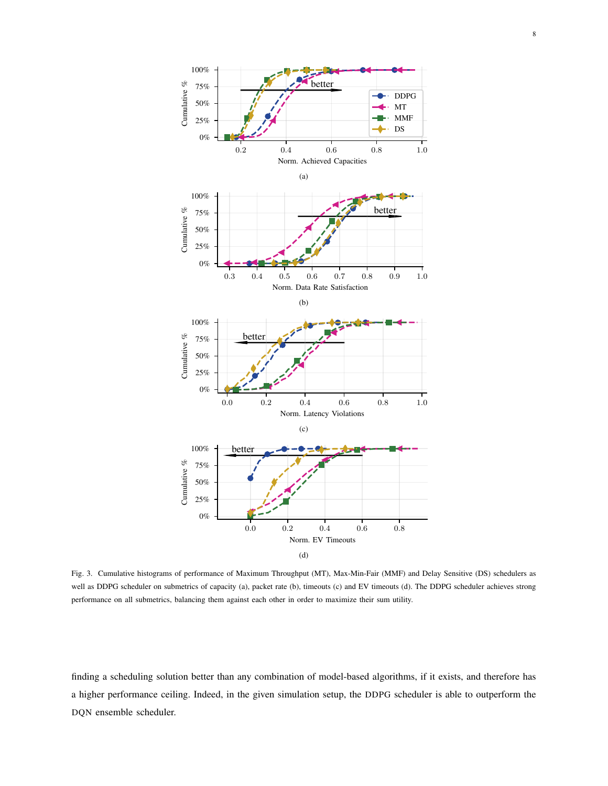<span id="page-8-0"></span>

<span id="page-8-1"></span>Fig. 3. Cumulative histograms of performance of Maximum Throughput (MT), Max-Min-Fair (MMF) and Delay Sensitive (DS) schedulers as well as DDPG scheduler on submetrics of capacity (a), packet rate (b), timeouts (c) and EV timeouts (d). The DDPG scheduler achieves strong performance on all submetrics, balancing them against each other in order to maximize their sum utility.

finding a scheduling solution better than any combination of model-based algorithms, if it exists, and therefore has a higher performance ceiling. Indeed, in the given simulation setup, the DDPG scheduler is able to outperform the DQN ensemble scheduler.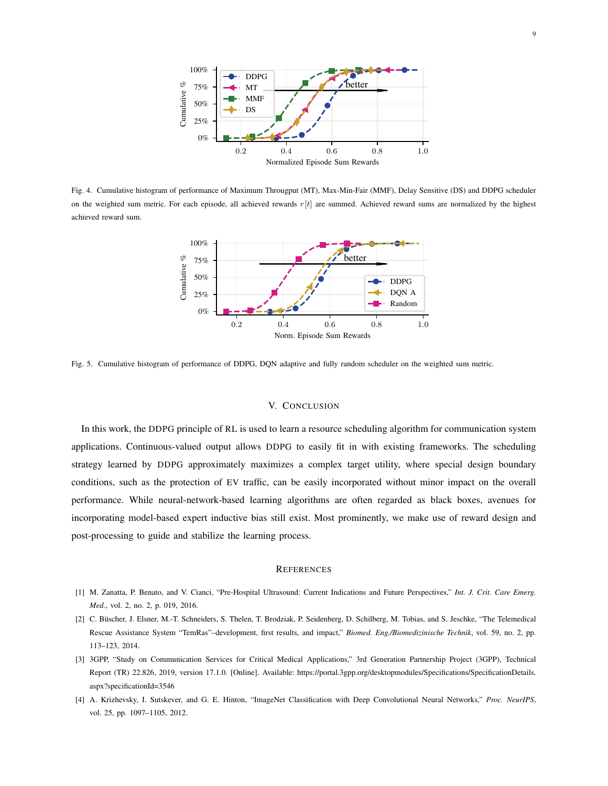

<span id="page-9-4"></span>Fig. 4. Cumulative histogram of performance of Maximum Througput (MT), Max-Min-Fair (MMF), Delay Sensitive (DS) and DDPG scheduler on the weighted sum metric. For each episode, all achieved rewards  $r[t]$  are summed. Achieved reward sums are normalized by the highest achieved reward sum.



<span id="page-9-5"></span>Fig. 5. Cumulative histogram of performance of DDPG, DQN adaptive and fully random scheduler on the weighted sum metric.

#### V. CONCLUSION

In this work, the DDPG principle of RL is used to learn a resource scheduling algorithm for communication system applications. Continuous-valued output allows DDPG to easily fit in with existing frameworks. The scheduling strategy learned by DDPG approximately maximizes a complex target utility, where special design boundary conditions, such as the protection of EV traffic, can be easily incorporated without minor impact on the overall performance. While neural-network-based learning algorithms are often regarded as black boxes, avenues for incorporating model-based expert inductive bias still exist. Most prominently, we make use of reward design and post-processing to guide and stabilize the learning process.

## **REFERENCES**

- <span id="page-9-0"></span>[1] M. Zanatta, P. Benato, and V. Cianci, "Pre-Hospital Ultrasound: Current Indications and Future Perspectives," *Int. J. Crit. Care Emerg. Med.*, vol. 2, no. 2, p. 019, 2016.
- <span id="page-9-1"></span>[2] C. Büscher, J. Elsner, M.-T. Schneiders, S. Thelen, T. Brodziak, P. Seidenberg, D. Schilberg, M. Tobias, and S. Jeschke, "The Telemedical Rescue Assistance System "TemRas"–development, first results, and impact," *Biomed. Eng./Biomedizinische Technik*, vol. 59, no. 2, pp. 113–123, 2014.
- <span id="page-9-2"></span>[3] 3GPP, "Study on Communication Services for Critical Medical Applications," 3rd Generation Partnership Project (3GPP), Technical Report (TR) 22.826, 2019, version 17.1.0. [Online]. Available: [https://portal.3gpp.org/desktopmodules/Specifications/SpecificationDetails.](https://portal.3gpp.org/desktopmodules/Specifications/SpecificationDetails.aspx?specificationId=3546) [aspx?specificationId=3546](https://portal.3gpp.org/desktopmodules/Specifications/SpecificationDetails.aspx?specificationId=3546)
- <span id="page-9-3"></span>[4] A. Krizhevsky, I. Sutskever, and G. E. Hinton, "ImageNet Classification with Deep Convolutional Neural Networks," *Proc. NeurIPS*, vol. 25, pp. 1097–1105, 2012.